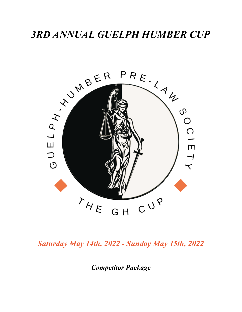

*Saturday May 14th, 2022 - Sunday May 15th, 2022*

*Competitor Package*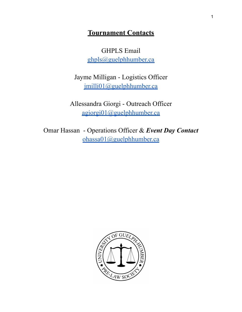# **Tournament Contacts**

GHPLS Email [ghpls@guelphhumber.ca](mailto:ghpls@guelphhumber.ca)

Jayme Milligan - Logistics Officer [jmilli01@guelphhumber.ca](mailto:jmilli01@guelphhumber.ca)

Allessandra Giorgi - Outreach Officer [agiorgi01@guelphhumber.ca](mailto:agiorgi01@guelphhumber.ca)

Omar Hassan - Operations Officer & *Event Day Contact* [ohassa01@guelphhumber.ca](mailto:ohassa01@guelphhumber.ca)

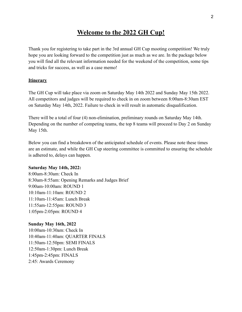# **Welcome to the 2022 GH Cup!**

Thank you for registering to take part in the 3rd annual GH Cup mooting competition! We truly hope you are looking forward to the competition just as much as we are. In the package below you will find all the relevant information needed for the weekend of the competition, some tips and tricks for success, as well as a case memo!

#### **Itinerary**

The GH Cup will take place via zoom on Saturday May 14th 2022 and Sunday May 15th 2022. All competitors and judges will be required to check in on zoom between 8:00am-8:30am EST on Saturday May 14th, 2022. Failure to check in will result in automatic disqualification.

There will be a total of four (4) non-elimination, preliminary rounds on Saturday May 14th. Depending on the number of competing teams, the top 8 teams will proceed to Day 2 on Sunday May 15th.

Below you can find a breakdown of the anticipated schedule of events. Please note these times are an estimate, and while the GH Cup steering committee is committed to ensuring the schedule is adhered to, delays can happen.

#### **Saturday May 14th, 2022:**

8:00am-8:30am: Check In 8:30am-8:55am: Opening Remarks and Judges Brief 9:00am-10:00am: ROUND 1 10:10am-11:10am: ROUND 2 11:10am-11:45am: Lunch Break 11:55am-12:55pm: ROUND 3 1:05pm-2:05pm: ROUND 4

#### **Sunday May 16th, 2022**

10:00am-10:30am: Check In 10:40am-11:40am: QUARTER FINALS 11:50am-12:50pm: SEMI FINALS 12:50am-1:30pm: Lunch Break 1:45pm-2:45pm: FINALS 2:45: Awards Ceremony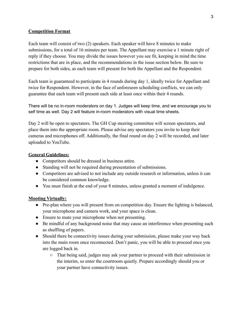#### **Competition Format**

Each team will consist of two (2) speakers. Each speaker will have 8 minutes to make submissions, for a total of 16 minutes per team. The Appellant may exercise a 1 minute right of reply if they choose. You may divide the issues however you see fit, keeping in mind the time restrictions that are in place, and the recommendations in the issue section below. Be sure to prepare for both sides, as each team will present for both the Appellant and the Respondent.

Each team is guaranteed to participate in 4 rounds during day 1, ideally twice for Appellant and twice for Respondent. However, in the face of unforeseen scheduling conflicts, we can only guarantee that each team will present each side at least once within their 4 rounds.

There will be no in-room moderators on day 1. Judges will keep time, and we encourage you to self time as well. Day 2 will feature in-room moderators with visual time sheets.

Day 2 will be open to spectators. The GH Cup steering committee will screen spectators, and place them into the appropriate room. Please advise any spectators you invite to keep their cameras and microphones off. Additionally, the final round on day 2 will be recorded, and later uploaded to YouTube.

#### **General Guidelines:**

- Competitors should be dressed in business attire.
- Standing will not be required during presentation of submissions.
- Competitors are advised to not include any outside research or information, unless it can be considered common knowledge.
- You must finish at the end of your 8 minutes, unless granted a moment of indulgence.

#### **Mooting Virtually:**

- Pre-plan where you will present from on competition day. Ensure the lighting is balanced, your microphone and camera work, and your space is clean.
- Ensure to mute your microphone when not presenting.
- Be mindful of any background noise that may cause an interference when presenting such as shuffling of papers.
- Should there be connectivity issues during your submission, please make your way back into the main room once reconnected. Don't panic, you will be able to proceed once you are logged back in.
	- That being said, judges may ask your partner to proceed with their submission in the interim, so enter the courtroom quietly. Prepare accordingly should you or your partner have connectivity issues.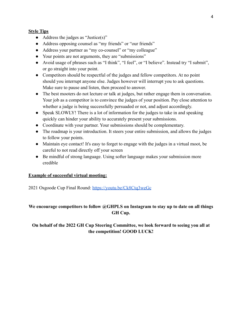#### **Style Tips**

- $\bullet$  Address the judges as "Justice(s)"
- Address opposing counsel as "my friends" or "our friends"
- Address your partner as "my co-counsel" or "my colleague"
- Your points are not arguments, they are "submissions"
- Avoid usage of phrases such as "I think", "I feel", or "I believe". Instead try "I submit", or go straight into your point.
- Competitors should be respectful of the judges and fellow competitors. At no point should you interrupt anyone else. Judges however will interrupt you to ask questions. Make sure to pause and listen, then proceed to answer.
- The best mooters do not lecture or talk at judges, but rather engage them in conversation. Your job as a competitor is to convince the judges of your position. Pay close attention to whether a judge is being successfully persuaded or not, and adjust accordingly.
- Speak SLOWLY! There is a lot of information for the judges to take in and speaking quickly can hinder your ability to accurately present your submissions.
- Coordinate with your partner. Your submissions should be complementary.
- The roadmap is your introduction. It steers your entire submission, and allows the judges to follow your points.
- Maintain eye contact! It's easy to forget to engage with the judges in a virtual moot, be careful to not read directly off your screen
- Be mindful of strong language. Using softer language makes your submission more credible

#### **Example of successful virtual mooting:**

2021 Osgoode Cup Final Round: <https://youtu.be/Ck8Ctq3weGc>

# **We encourage competitors to follow @GHPLS on Instagram to stay up to date on all things GH Cup.**

# **On behalf of the 2022 GH Cup Steering Committee, we look forward to seeing you all at the competition! GOOD LUCK!**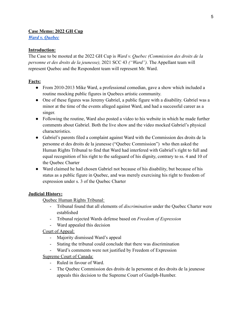#### **Case Memo: 2022 GH Cup**

*[Ward v. Quebec](https://scc-csc.lexum.com/scc-csc/scc-csc/en/item/19046/index.do)*

#### **Introduction:**

The Case to be mooted at the 2022 GH Cup is *Ward v. Quebec (Commission des droits de la personne et des droits de la jeunesse),* 2021 SCC 43 *("Ward").* The Appellant team will represent Quebec and the Respondent team will represent Mr. Ward.

# **Facts:**

- From 2010-2013 Mike Ward, a professional comedian, gave a show which included a routine mocking public figures in Quebecs artistic community.
- One of these figures was Jeremy Gabriel, a public figure with a disability. Gabriel was a minor at the time of the events alleged against Ward, and had a successful career as a singer.
- Following the routine, Ward also posted a video to his website in which he made further comments about Gabriel. Both the live show and the video mocked Gabriel's physical characteristics.
- Gabriel's parents filed a complaint against Ward with the Commission des droits de la personne et des droits de la jeunesse ("Quebec Commission") who then asked the Human Rights Tribunal to find that Ward had interfered with Gabriel's right to full and equal recognition of his right to the safeguard of his dignity, contrary to ss. 4 and 10 of the Quebec Charter
- Ward claimed he had chosen Gabriel not because of his disability, but because of his status as a public figure in Quebec, and was merely exercising his right to freedom of expression under s. 3 of the Quebec Charter

# **Judicial History:**

Quebec Human Rights Tribunal:

- Tribunal found that all elements of *discrimination* under the Quebec Charter were established
- Tribunal rejected Wards defense based on *Freedom of Expression*
- Ward appealed this decision

# Court of Appeal:

- Majority dismissed Ward's appeal
- Stating the tribunal could conclude that there was discrimination
- Ward's comments were not justified by Freedom of Expression

# Supreme Court of Canada:

- Ruled in favour of Ward.
- The Quebec Commission des droits de la personne et des droits de la jeunesse appeals this decision to the Supreme Court of Guelph-Humber.